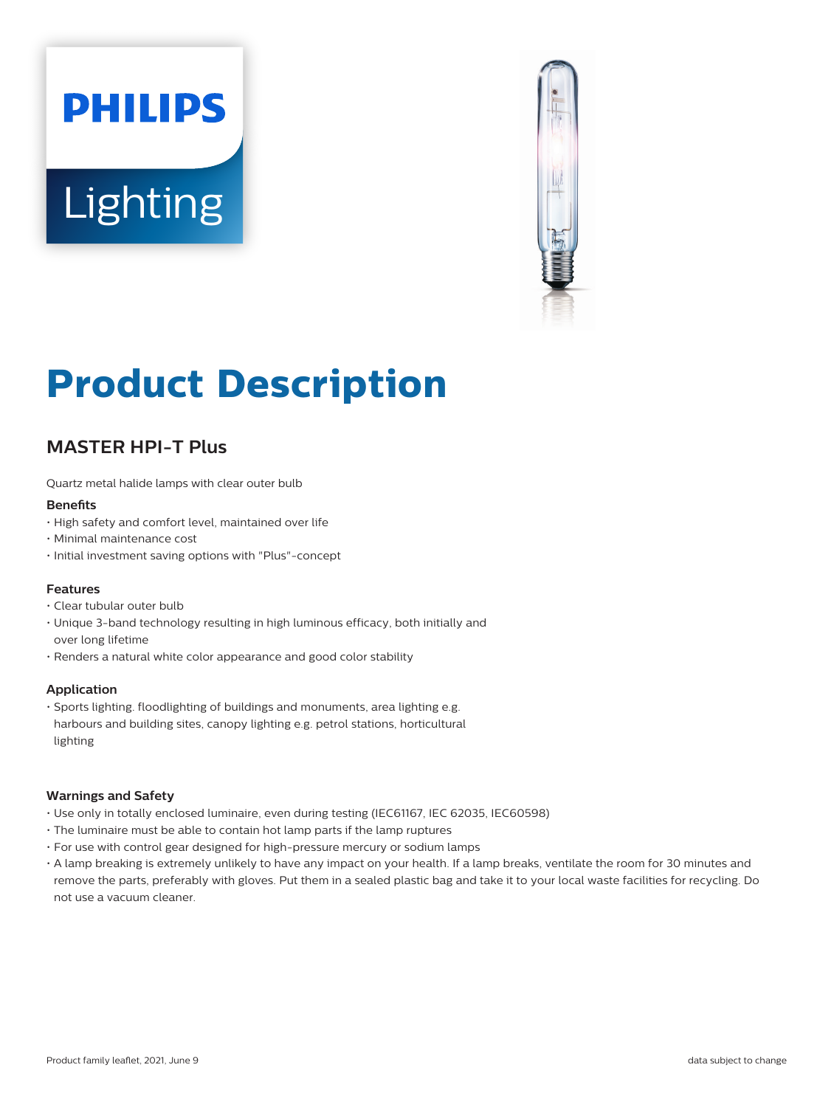# **PHILIPS Lighting**



# **Product Description**

# **MASTER HPI-T Plus**

Quartz metal halide lamps with clear outer bulb

### **Benefits**

- High safety and comfort level, maintained over life
- Minimal maintenance cost
- Initial investment saving options with "Plus"-concept

### **Features**

- Clear tubular outer bulb
- Unique 3-band technology resulting in high luminous efficacy, both initially and over long lifetime
- Renders a natural white color appearance and good color stability

### **Application**

• Sports lighting. floodlighting of buildings and monuments, area lighting e.g. harbours and building sites, canopy lighting e.g. petrol stations, horticultural lighting

### **Warnings and Safety**

- Use only in totally enclosed luminaire, even during testing (IEC61167, IEC 62035, IEC60598)
- The luminaire must be able to contain hot lamp parts if the lamp ruptures
- For use with control gear designed for high-pressure mercury or sodium lamps
- A lamp breaking is extremely unlikely to have any impact on your health. If a lamp breaks, ventilate the room for 30 minutes and remove the parts, preferably with gloves. Put them in a sealed plastic bag and take it to your local waste facilities for recycling. Do not use a vacuum cleaner.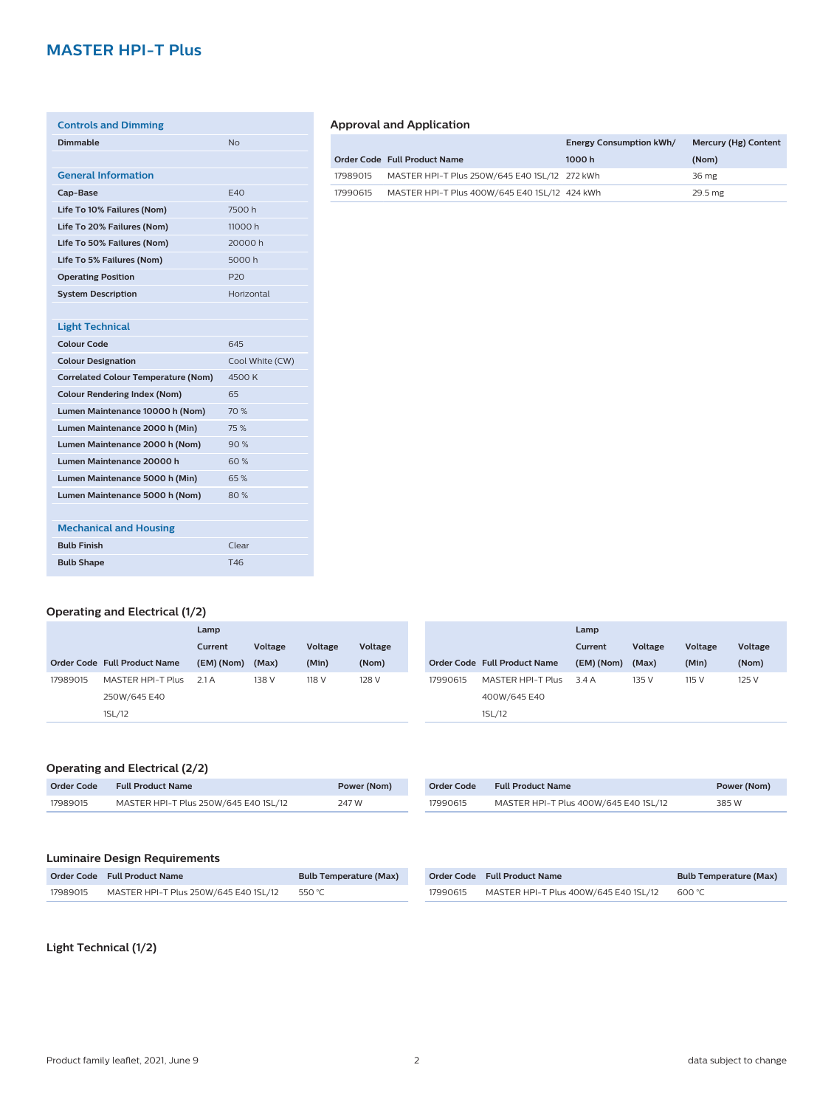# **MASTER HPI-T Plus**

| <b>Controls and Dimming</b>                |                 |
|--------------------------------------------|-----------------|
| Dimmable                                   | N <sub>0</sub>  |
|                                            |                 |
| <b>General Information</b>                 |                 |
| Cap-Base                                   | F40             |
| Life To 10% Failures (Nom)                 | 7500h           |
| Life To 20% Failures (Nom)                 | 11000h          |
| Life To 50% Failures (Nom)                 | 20000 h         |
| Life To 5% Failures (Nom)                  | 5000 h          |
| <b>Operating Position</b>                  | P <sub>20</sub> |
| <b>System Description</b>                  | Horizontal      |
|                                            |                 |
| <b>Light Technical</b>                     |                 |
| <b>Colour Code</b>                         | 645             |
| <b>Colour Designation</b>                  | Cool White (CW) |
| <b>Correlated Colour Temperature (Nom)</b> | 4500 K          |
| <b>Colour Rendering Index (Nom)</b>        | 65              |
| Lumen Maintenance 10000 h (Nom)            | 70 %            |
| Lumen Maintenance 2000 h (Min)             | 75%             |
| Lumen Maintenance 2000 h (Nom)             | 90%             |
| Lumen Maintenance 20000 h                  | 60%             |
| Lumen Maintenance 5000 h (Min)             | 65%             |
| Lumen Maintenance 5000 h (Nom)             | 80%             |
|                                            |                 |
| <b>Mechanical and Housing</b>              |                 |
| <b>Bulb Finish</b>                         | Clear           |
| <b>Bulb Shape</b>                          | T46             |
|                                            |                 |

## **Approval and Application**

|          |                                               | <b>Energy Consumption kWh/</b> | Mercury (Hg) Content |
|----------|-----------------------------------------------|--------------------------------|----------------------|
|          | Order Code Full Product Name                  | 1000 h                         | (Nom)                |
| 17989015 | MASTER HPI-T Plus 250W/645 E40 1SL/12 272 kWh |                                | 36 mg                |
| 17990615 | MASTER HPI-T Plus 400W/645 E40 1SL/12 424 kWh |                                | 29.5 mg              |

# **Operating and Electrical (1/2)**

|          |                              | Lamp       |         |         |         |          |                              | Lamp       |         |         |         |
|----------|------------------------------|------------|---------|---------|---------|----------|------------------------------|------------|---------|---------|---------|
|          |                              | Current    | Voltage | Voltage | Voltage |          |                              | Current    | Voltage | Voltage | Voltage |
|          | Order Code Full Product Name | (EM) (Nom) | (Max)   | (Min)   | (Nom)   |          | Order Code Full Product Name | (EM) (Nom) | (Max)   | (Min)   | (Nom)   |
| 17989015 | MASTER HPI-T Plus            | 2.1 A      | 138 V   | 118 V   | 128 V   | 17990615 | MASTER HPI-T Plus            | 3.4A       | 135 V   | 115 V   | 125 V   |
|          | 250W/645 E40                 |            |         |         |         |          | 400W/645 E40                 |            |         |         |         |
|          | 1SL/12                       |            |         |         |         |          | 1SL/12                       |            |         |         |         |

# **Operating and Electrical (2/2)**

| Order Code | <b>Full Product Name</b>              | Power (Nom) |
|------------|---------------------------------------|-------------|
| 17989015   | MASTER HPI-T Plus 250W/645 E40 1SL/12 | 247 W       |

| Order Code | <b>Full Product Name</b>              | Power (Nom) |
|------------|---------------------------------------|-------------|
| 17990615   | MASTER HPI-T Plus 400W/645 E40 1SL/12 | 385 W       |

# **Luminaire Design Requirements**

|          | Order Code Full Product Name                 | <b>Bulb Temperature (Max)</b> |          | Order Code Full Product Name                 | <b>Bulb Temperature (Max)</b> |
|----------|----------------------------------------------|-------------------------------|----------|----------------------------------------------|-------------------------------|
| 17989015 | MASTER HPI-T Plus 250W/645 E40 1SL/12 550 °C |                               | 17990615 | MASTER HPI-T Plus 400W/645 E40 1SL/12 600 °C |                               |

**Light Technical (1/2)**